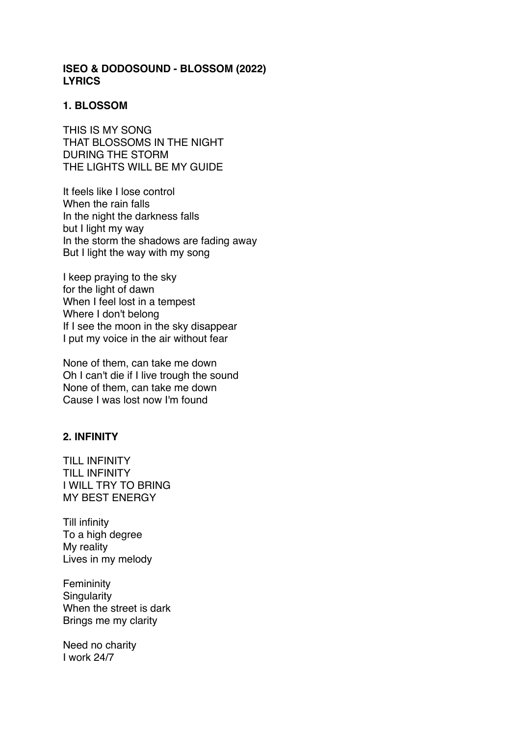#### **ISEO & DODOSOUND - BLOSSOM (2022) LYRICS**

### **1. BLOSSOM**

THIS IS MY SONG THAT BLOSSOMS IN THE NIGHT DURING THE STORM THE LIGHTS WILL BE MY GUIDE

It feels like I lose control When the rain falls In the night the darkness falls but I light my way In the storm the shadows are fading away But I light the way with my song

I keep praying to the sky for the light of dawn When I feel lost in a tempest Where I don't belong If I see the moon in the sky disappear I put my voice in the air without fear

None of them, can take me down Oh I can't die if I live trough the sound None of them, can take me down Cause I was lost now I'm found

# **2. INFINITY**

TILL INFINITY TILL INFINITY I WILL TRY TO BRING MY BEST ENERGY

Till infinity To a high degree My reality Lives in my melody

**Femininity Singularity** When the street is dark Brings me my clarity

Need no charity I work 24/7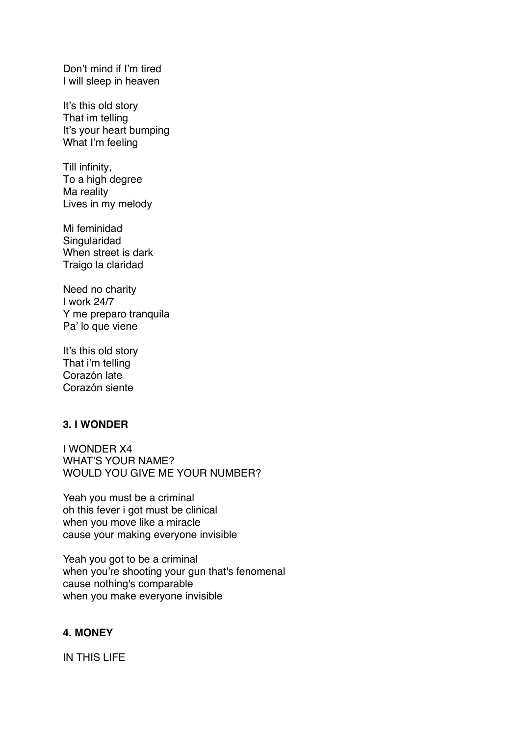Don't mind if I'm tired I will sleep in heaven

It's this old story That im telling It's your heart bumping What I'm feeling

Till infinity, To a high degree Ma reality Lives in my melody

Mi feminidad Singularidad When street is dark Traigo la claridad

Need no charity I work 24/7 Y me preparo tranquila Pa' lo que viene

It's this old story That i'm telling Corazón late Corazón siente

#### **3. I WONDER**

I WONDER X4 WHAT'S YOUR NAME? WOULD YOU GIVE ME YOUR NUMBER?

Yeah you must be a criminal oh this fever i got must be clinical when you move like a miracle cause your making everyone invisible

Yeah you got to be a criminal when you're shooting your gun that's fenomenal cause nothing's comparable when you make everyone invisible

### **4. MONEY**

IN THIS LIFE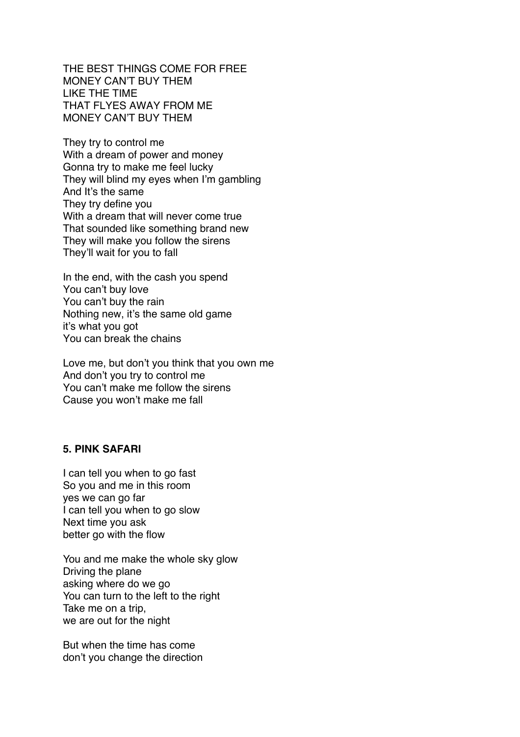THE BEST THINGS COME FOR FREE MONEY CAN'T BUY THEM LIKE THE TIME THAT FLYES AWAY FROM ME MONEY CAN'T BUY THEM

They try to control me With a dream of power and money Gonna try to make me feel lucky They will blind my eyes when I'm gambling And It's the same They try define you With a dream that will never come true That sounded like something brand new They will make you follow the sirens They'll wait for you to fall

In the end, with the cash you spend You can't buy love You can't buy the rain Nothing new, it's the same old game it's what you got You can break the chains

Love me, but don't you think that you own me And don't you try to control me You can't make me follow the sirens Cause you won't make me fall

# **5. PINK SAFARI**

I can tell you when to go fast So you and me in this room yes we can go far I can tell you when to go slow Next time you ask better go with the flow

You and me make the whole sky glow Driving the plane asking where do we go You can turn to the left to the right Take me on a trip, we are out for the night

But when the time has come don't you change the direction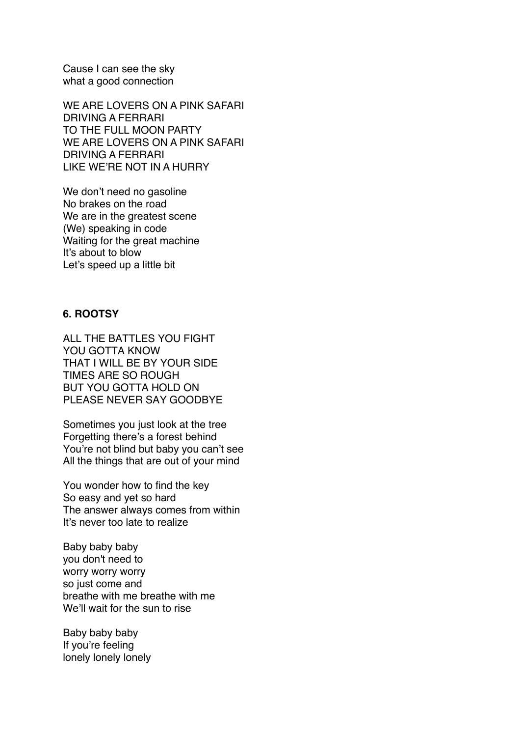Cause I can see the sky what a good connection

WE ARE LOVERS ON A PINK SAFARI DRIVING A FERRARI TO THE FULL MOON PARTY WE ARE LOVERS ON A PINK SAFARI DRIVING A FERRARI LIKE WE'RE NOT IN A HURRY

We don't need no gasoline No brakes on the road We are in the greatest scene (We) speaking in code Waiting for the great machine It's about to blow Let's speed up a little bit

# **6. ROOTSY**

ALL THE BATTLES YOU FIGHT YOU GOTTA KNOW THAT I WILL BE BY YOUR SIDE TIMES ARE SO ROUGH BUT YOU GOTTA HOLD ON PLEASE NEVER SAY GOODBYE

Sometimes you just look at the tree Forgetting there's a forest behind You're not blind but baby you can't see All the things that are out of your mind

You wonder how to find the key So easy and yet so hard The answer always comes from within It's never too late to realize

Baby baby baby you don't need to worry worry worry so just come and breathe with me breathe with me We'll wait for the sun to rise

Baby baby baby If you're feeling lonely lonely lonely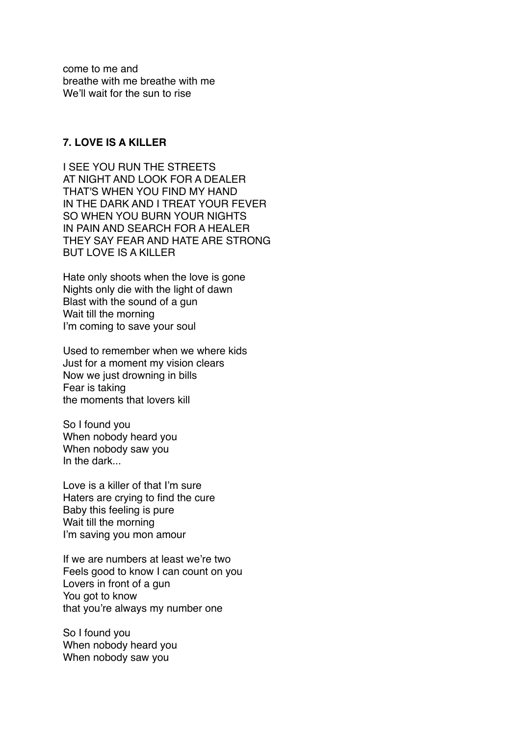come to me and breathe with me breathe with me We'll wait for the sun to rise

# **7. LOVE IS A KILLER**

I SEE YOU RUN THE STREETS AT NIGHT AND LOOK FOR A DEALER THAT'S WHEN YOU FIND MY HAND IN THE DARK AND I TREAT YOUR FEVER SO WHEN YOU BURN YOUR NIGHTS IN PAIN AND SEARCH FOR A HEALER THEY SAY FEAR AND HATE ARE STRONG BUT LOVE IS A KILLER

Hate only shoots when the love is gone Nights only die with the light of dawn Blast with the sound of a gun Wait till the morning I'm coming to save your soul

Used to remember when we where kids Just for a moment my vision clears Now we just drowning in bills Fear is taking the moments that lovers kill

So I found you When nobody heard you When nobody saw you In the dark...

Love is a killer of that I'm sure Haters are crying to find the cure Baby this feeling is pure Wait till the morning I'm saving you mon amour

If we are numbers at least we're two Feels good to know I can count on you Lovers in front of a gun You got to know that you're always my number one

So I found you When nobody heard you When nobody saw you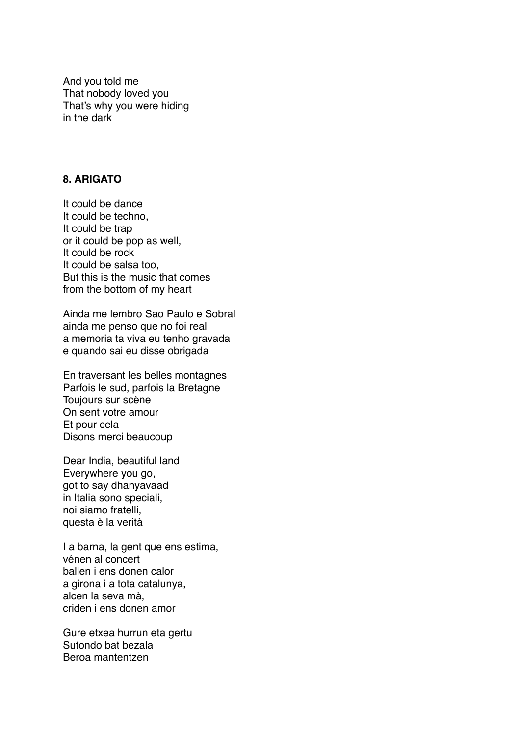And you told me That nobody loved you That's why you were hiding in the dark

# **8. ARIGATO**

It could be dance It could be techno, It could be trap or it could be pop as well, It could be rock It could be salsa too, But this is the music that comes from the bottom of my heart

Ainda me lembro Sao Paulo e Sobral ainda me penso que no foi real a memoria ta viva eu tenho gravada e quando sai eu disse obrigada

En traversant les belles montagnes Parfois le sud, parfois la Bretagne Toujours sur scène On sent votre amour Et pour cela Disons merci beaucoup

Dear India, beautiful land Everywhere you go, got to say dhanyavaad in Italia sono speciali, noi siamo fratelli, questa è la verità

I a barna, la gent que ens estima, vénen al concert ballen i ens donen calor a girona i a tota catalunya, alcen la seva mà, criden i ens donen amor

Gure etxea hurrun eta gertu Sutondo bat bezala Beroa mantentzen